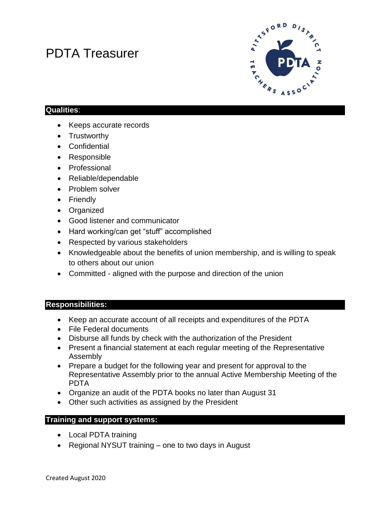# PDTA Treasurer



### **Qualities**:

- Keeps accurate records
- Trustworthy
- Confidential
- Responsible
- Professional
- Reliable/dependable
- Problem solver
- Friendly
- Organized
- Good listener and communicator
- Hard working/can get "stuff" accomplished
- Respected by various stakeholders
- Knowledgeable about the benefits of union membership, and is willing to speak to others about our union
- Committed aligned with the purpose and direction of the union

#### **Responsibilities:**

- Keep an accurate account of all receipts and expenditures of the PDTA
- File Federal documents
- Disburse all funds by check with the authorization of the President
- Present a financial statement at each regular meeting of the Representative Assembly
- Prepare a budget for the following year and present for approval to the Representative Assembly prior to the annual Active Membership Meeting of the PDTA
- Organize an audit of the PDTA books no later than August 31
- Other such activities as assigned by the President

#### **Training and support systems:**

- Local PDTA training
- Regional NYSUT training one to two days in August